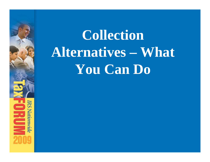# **Collection Alternatives – What You Can Do**

**IRS Nationwide** 

**DROW**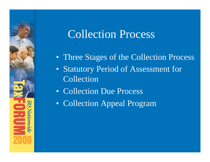#### Collection Process

- Three Stages of the Collection Process
- Statutory Period of Assessment for Collection
- Collection Due Process

Nationvide

Ĕ

• Collection Appeal Program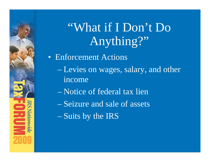"What if I Don't Do Anything?"

• Enforcement Actions

– Levies on wages, salary, and other income

– Notice of federal tax lien

– Seizure and sale of assets

– Suits by the IRS

**IRS Nationwide** 

E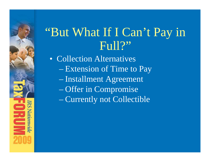#### "But What If I Can't Pay in Full?"

• Collection Alternatives – Extension of Time to Pay – Installment Agreement – Offer in Compromise – Currently not Collectible

Matoutor

E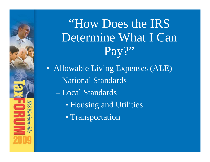#### "How Does the IRS Determine What I Can Pay?"

- Allowable Living Expenses (ALE) – National Standards
	- Local Standards

Nationwide<br>Nationwide

Ĕ

- Housing and Utilities
- Transportation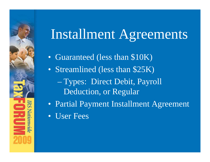#### Installment Agreements

- Guaranteed (less than \$10K)
- Streamlined (less than \$25K)
	- Types: Direct Debit, Payroll Deduction, or Regular
- Partial Payment Installment Agreement
- User Fees

Nationwide

É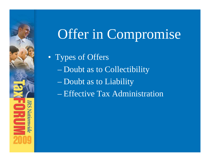## Offer in Compromise

• Types of Offers

Nationwide

E

– Doubt as to Collectibility

– Doubt as to Liability

– Effective Tax Administration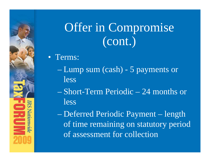### Offer in Compromise (cont.)

#### • Terms:

Nationwide

É

- Lump sum (cash) 5 payments or less
- Short-Term Periodic 24 months or less
- Deferred Periodic Payment length of time remaining on statutory period of assessment for collection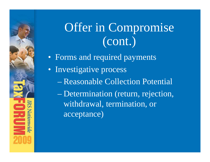#### Offer in Compromise (cont.)

- Forms and required payments
- Investigative process

Nationwid

Ê

- Reasonable Collection Potential
- Determination (return, rejection, withdrawal, termination, or acceptance)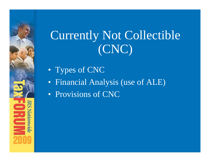#### Currently Not Collectible (CNC)

• Types of CNC

promoth

E

- Financial Analysis (use of ALE)
- Provisions of CNC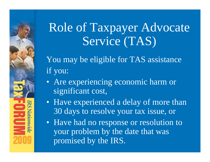#### Role of Taxpayer Advocate Service (TAS)

You may be eligible for TAS assistance if you:

- Are experiencing economic harm or significant cost,
- Have experienced a delay of more than 30 days to resolve your tax issue, or
- Have had no response or resolution to your problem by the date that was promised by the IRS.

Nationwide

**Z**